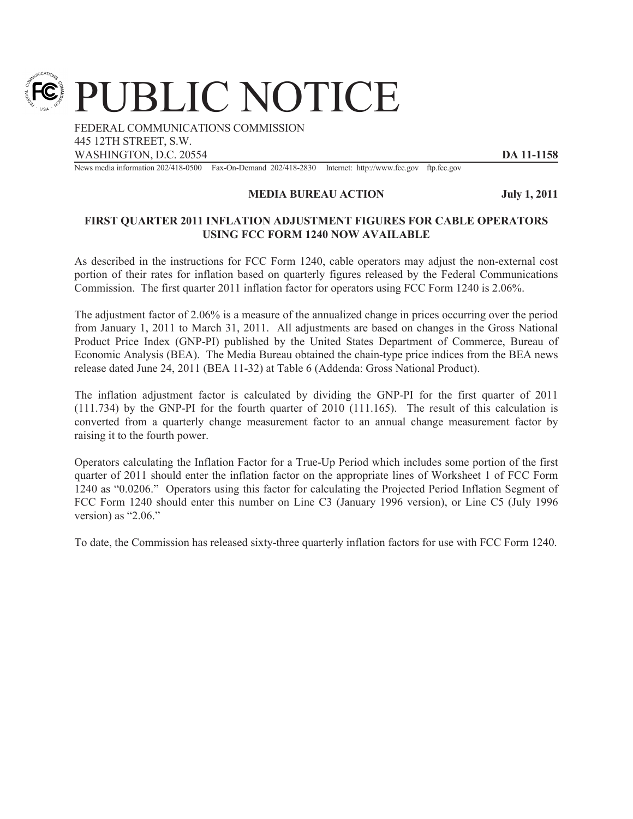PUBLIC NOTICE

FEDERAL COMMUNICATIONS COMMISSION 445 12TH STREET, S.W. WASHINGTON, D.C. 20554 **DA 11-1158** 

News media information 202/418-0500 Fax-On-Demand 202/418-2830 Internet: http://www.fcc.gov ftp.fcc.gov

## **MEDIA BUREAU ACTION July 1, 2011**

## **FIRST QUARTER 2011 INFLATION ADJUSTMENT FIGURES FOR CABLE OPERATORS USING FCC FORM 1240 NOW AVAILABLE**

As described in the instructions for FCC Form 1240, cable operators may adjust the non-external cost portion of their rates for inflation based on quarterly figures released by the Federal Communications Commission. The first quarter 2011 inflation factor for operators using FCC Form 1240 is 2.06%.

The adjustment factor of 2.06% is a measure of the annualized change in prices occurring over the period from January 1, 2011 to March 31, 2011. All adjustments are based on changes in the Gross National Product Price Index (GNP-PI) published by the United States Department of Commerce, Bureau of Economic Analysis (BEA). The Media Bureau obtained the chain-type price indices from the BEA news release dated June 24, 2011 (BEA 11-32) at Table 6 (Addenda: Gross National Product).

The inflation adjustment factor is calculated by dividing the GNP-PI for the first quarter of 2011 (111.734) by the GNP-PI for the fourth quarter of 2010 (111.165). The result of this calculation is converted from a quarterly change measurement factor to an annual change measurement factor by raising it to the fourth power.

Operators calculating the Inflation Factor for a True-Up Period which includes some portion of the first quarter of 2011 should enter the inflation factor on the appropriate lines of Worksheet 1 of FCC Form 1240 as "0.0206." Operators using this factor for calculating the Projected Period Inflation Segment of FCC Form 1240 should enter this number on Line C3 (January 1996 version), or Line C5 (July 1996 version) as "2.06."

To date, the Commission has released sixty-three quarterly inflation factors for use with FCC Form 1240.